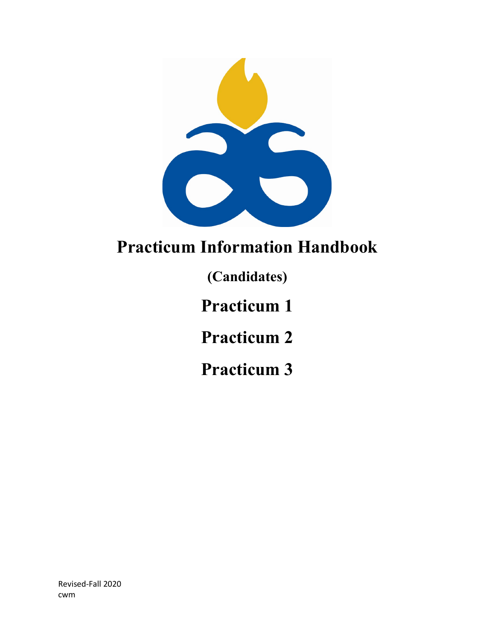

# **Practicum Information Handbook**

**(Candidates)**

**Practicum 1**

**Practicum 2**

**Practicum 3**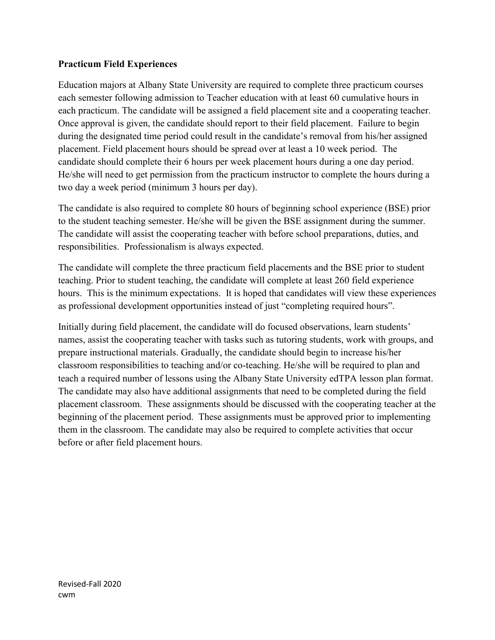## **Practicum Field Experiences**

Education majors at Albany State University are required to complete three practicum courses each semester following admission to Teacher education with at least 60 cumulative hours in each practicum. The candidate will be assigned a field placement site and a cooperating teacher. Once approval is given, the candidate should report to their field placement. Failure to begin during the designated time period could result in the candidate's removal from his/her assigned placement. Field placement hours should be spread over at least a 10 week period. The candidate should complete their 6 hours per week placement hours during a one day period. He/she will need to get permission from the practicum instructor to complete the hours during a two day a week period (minimum 3 hours per day).

The candidate is also required to complete 80 hours of beginning school experience (BSE) prior to the student teaching semester. He/she will be given the BSE assignment during the summer. The candidate will assist the cooperating teacher with before school preparations, duties, and responsibilities. Professionalism is always expected.

The candidate will complete the three practicum field placements and the BSE prior to student teaching. Prior to student teaching, the candidate will complete at least 260 field experience hours. This is the minimum expectations. It is hoped that candidates will view these experiences as professional development opportunities instead of just "completing required hours".

Initially during field placement, the candidate will do focused observations, learn students' names, assist the cooperating teacher with tasks such as tutoring students, work with groups, and prepare instructional materials. Gradually, the candidate should begin to increase his/her classroom responsibilities to teaching and/or co-teaching. He/she will be required to plan and teach a required number of lessons using the Albany State University edTPA lesson plan format. The candidate may also have additional assignments that need to be completed during the field placement classroom. These assignments should be discussed with the cooperating teacher at the beginning of the placement period. These assignments must be approved prior to implementing them in the classroom. The candidate may also be required to complete activities that occur before or after field placement hours.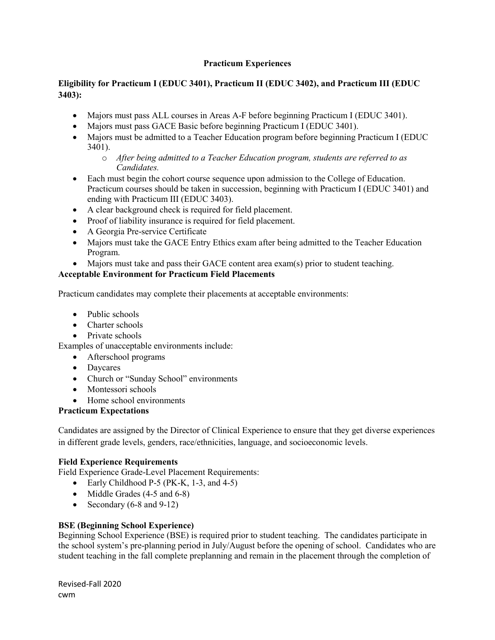## **Practicum Experiences**

## **Eligibility for Practicum I (EDUC 3401), Practicum II (EDUC 3402), and Practicum III (EDUC 3403):**

- Majors must pass ALL courses in Areas A-F before beginning Practicum I (EDUC 3401).
- Majors must pass GACE Basic before beginning Practicum I (EDUC 3401).
- Majors must be admitted to a Teacher Education program before beginning Practicum I (EDUC) 3401).
	- o *After being admitted to a Teacher Education program, students are referred to as Candidates.*
- Each must begin the cohort course sequence upon admission to the College of Education. Practicum courses should be taken in succession, beginning with Practicum I (EDUC 3401) and ending with Practicum III (EDUC 3403).
- A clear background check is required for field placement.
- Proof of liability insurance is required for field placement.
- A Georgia Pre-service Certificate
- Majors must take the GACE Entry Ethics exam after being admitted to the Teacher Education Program.
- Majors must take and pass their GACE content area exam(s) prior to student teaching.

## **Acceptable Environment for Practicum Field Placements**

Practicum candidates may complete their placements at acceptable environments:

- Public schools
- Charter schools
- Private schools

Examples of unacceptable environments include:

- Afterschool programs
- Daycares
- Church or "Sunday School" environments
- Montessori schools
- Home school environments

## **Practicum Expectations**

Candidates are assigned by the Director of Clinical Experience to ensure that they get diverse experiences in different grade levels, genders, race/ethnicities, language, and socioeconomic levels.

## **Field Experience Requirements**

Field Experience Grade-Level Placement Requirements:

- Early Childhood P-5 (PK-K, 1-3, and 4-5)
- Middle Grades (4-5 and 6-8)
- Secondary  $(6-8 \text{ and } 9-12)$

## **BSE (Beginning School Experience)**

Beginning School Experience (BSE) is required prior to student teaching. The candidates participate in the school system's pre-planning period in July/August before the opening of school. Candidates who are student teaching in the fall complete preplanning and remain in the placement through the completion of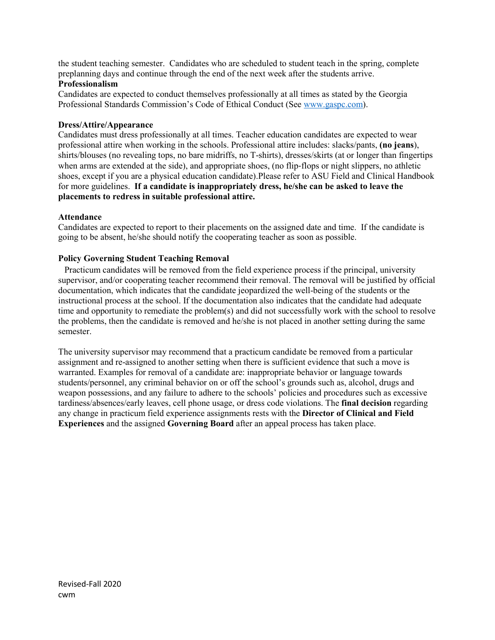the student teaching semester. Candidates who are scheduled to student teach in the spring, complete preplanning days and continue through the end of the next week after the students arrive.

#### **Professionalism**

Candidates are expected to conduct themselves professionally at all times as stated by the Georgia Professional Standards Commission's Code of Ethical Conduct (Se[e www.gaspc.com\)](http://www.gaspc.com/).

#### **Dress/Attire/Appearance**

Candidates must dress professionally at all times. Teacher education candidates are expected to wear professional attire when working in the schools. Professional attire includes: slacks/pants, **(no jeans**), shirts/blouses (no revealing tops, no bare midriffs, no T-shirts), dresses/skirts (at or longer than fingertips when arms are extended at the side), and appropriate shoes, (no flip-flops or night slippers, no athletic shoes, except if you are a physical education candidate).Please refer to ASU Field and Clinical Handbook for more guidelines. **If a candidate is inappropriately dress, he/she can be asked to leave the placements to redress in suitable professional attire.**

#### **Attendance**

Candidates are expected to report to their placements on the assigned date and time. If the candidate is going to be absent, he/she should notify the cooperating teacher as soon as possible.

#### **Policy Governing Student Teaching Removal**

 Practicum candidates will be removed from the field experience process if the principal, university supervisor, and/or cooperating teacher recommend their removal. The removal will be justified by official documentation, which indicates that the candidate jeopardized the well-being of the students or the instructional process at the school. If the documentation also indicates that the candidate had adequate time and opportunity to remediate the problem(s) and did not successfully work with the school to resolve the problems, then the candidate is removed and he/she is not placed in another setting during the same semester.

The university supervisor may recommend that a practicum candidate be removed from a particular assignment and re-assigned to another setting when there is sufficient evidence that such a move is warranted. Examples for removal of a candidate are: inappropriate behavior or language towards students/personnel, any criminal behavior on or off the school's grounds such as, alcohol, drugs and weapon possessions, and any failure to adhere to the schools' policies and procedures such as excessive tardiness/absences/early leaves, cell phone usage, or dress code violations. The **final decision** regarding any change in practicum field experience assignments rests with the **Director of Clinical and Field Experiences** and the assigned **Governing Board** after an appeal process has taken place.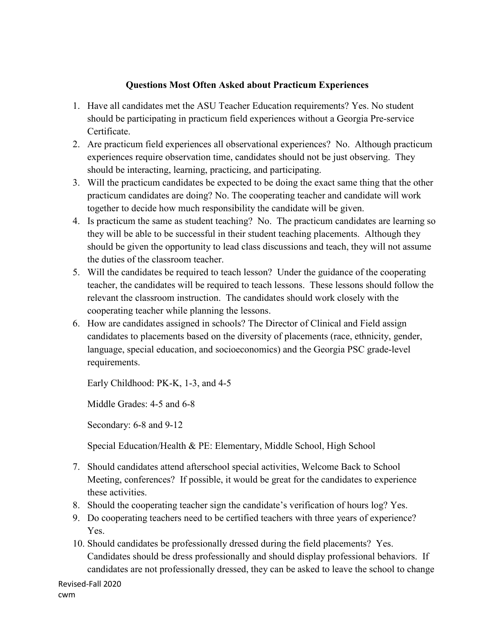## **Questions Most Often Asked about Practicum Experiences**

- 1. Have all candidates met the ASU Teacher Education requirements? Yes. No student should be participating in practicum field experiences without a Georgia Pre-service Certificate.
- 2. Are practicum field experiences all observational experiences? No. Although practicum experiences require observation time, candidates should not be just observing. They should be interacting, learning, practicing, and participating.
- 3. Will the practicum candidates be expected to be doing the exact same thing that the other practicum candidates are doing? No. The cooperating teacher and candidate will work together to decide how much responsibility the candidate will be given.
- 4. Is practicum the same as student teaching? No. The practicum candidates are learning so they will be able to be successful in their student teaching placements. Although they should be given the opportunity to lead class discussions and teach, they will not assume the duties of the classroom teacher.
- 5. Will the candidates be required to teach lesson? Under the guidance of the cooperating teacher, the candidates will be required to teach lessons. These lessons should follow the relevant the classroom instruction. The candidates should work closely with the cooperating teacher while planning the lessons.
- 6. How are candidates assigned in schools? The Director of Clinical and Field assign candidates to placements based on the diversity of placements (race, ethnicity, gender, language, special education, and socioeconomics) and the Georgia PSC grade-level requirements.

Early Childhood: PK-K, 1-3, and 4-5

Middle Grades: 4-5 and 6-8

Secondary: 6-8 and 9-12

Special Education/Health & PE: Elementary, Middle School, High School

- 7. Should candidates attend afterschool special activities, Welcome Back to School Meeting, conferences? If possible, it would be great for the candidates to experience these activities.
- 8. Should the cooperating teacher sign the candidate's verification of hours log? Yes.
- 9. Do cooperating teachers need to be certified teachers with three years of experience? Yes.
- 10. Should candidates be professionally dressed during the field placements? Yes. Candidates should be dress professionally and should display professional behaviors. If candidates are not professionally dressed, they can be asked to leave the school to change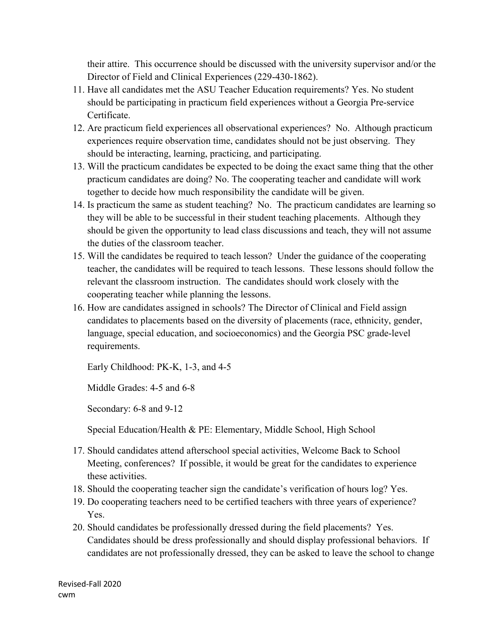their attire. This occurrence should be discussed with the university supervisor and/or the Director of Field and Clinical Experiences (229-430-1862).

- 11. Have all candidates met the ASU Teacher Education requirements? Yes. No student should be participating in practicum field experiences without a Georgia Pre-service Certificate.
- 12. Are practicum field experiences all observational experiences? No. Although practicum experiences require observation time, candidates should not be just observing. They should be interacting, learning, practicing, and participating.
- 13. Will the practicum candidates be expected to be doing the exact same thing that the other practicum candidates are doing? No. The cooperating teacher and candidate will work together to decide how much responsibility the candidate will be given.
- 14. Is practicum the same as student teaching? No. The practicum candidates are learning so they will be able to be successful in their student teaching placements. Although they should be given the opportunity to lead class discussions and teach, they will not assume the duties of the classroom teacher.
- 15. Will the candidates be required to teach lesson? Under the guidance of the cooperating teacher, the candidates will be required to teach lessons. These lessons should follow the relevant the classroom instruction. The candidates should work closely with the cooperating teacher while planning the lessons.
- 16. How are candidates assigned in schools? The Director of Clinical and Field assign candidates to placements based on the diversity of placements (race, ethnicity, gender, language, special education, and socioeconomics) and the Georgia PSC grade-level requirements.

Early Childhood: PK-K, 1-3, and 4-5

Middle Grades: 4-5 and 6-8

Secondary: 6-8 and 9-12

Special Education/Health & PE: Elementary, Middle School, High School

- 17. Should candidates attend afterschool special activities, Welcome Back to School Meeting, conferences? If possible, it would be great for the candidates to experience these activities.
- 18. Should the cooperating teacher sign the candidate's verification of hours log? Yes.
- 19. Do cooperating teachers need to be certified teachers with three years of experience? Yes.
- 20. Should candidates be professionally dressed during the field placements? Yes. Candidates should be dress professionally and should display professional behaviors. If candidates are not professionally dressed, they can be asked to leave the school to change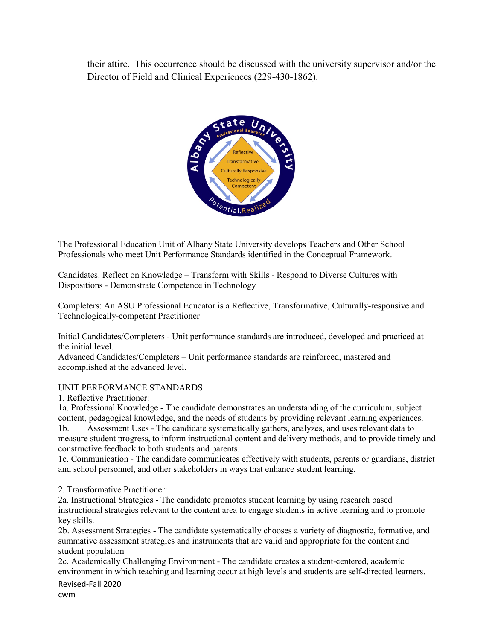their attire. This occurrence should be discussed with the university supervisor and/or the Director of Field and Clinical Experiences (229-430-1862).



The Professional Education Unit of Albany State University develops Teachers and Other School Professionals who meet Unit Performance Standards identified in the Conceptual Framework.

Candidates: Reflect on Knowledge – Transform with Skills - Respond to Diverse Cultures with Dispositions - Demonstrate Competence in Technology

Completers: An ASU Professional Educator is a Reflective, Transformative, Culturally-responsive and Technologically-competent Practitioner

Initial Candidates/Completers - Unit performance standards are introduced, developed and practiced at the initial level.

Advanced Candidates/Completers – Unit performance standards are reinforced, mastered and accomplished at the advanced level.

#### UNIT PERFORMANCE STANDARDS

1. Reflective Practitioner:

1a. Professional Knowledge - The candidate demonstrates an understanding of the curriculum, subject content, pedagogical knowledge, and the needs of students by providing relevant learning experiences.

1b. Assessment Uses - The candidate systematically gathers, analyzes, and uses relevant data to measure student progress, to inform instructional content and delivery methods, and to provide timely and constructive feedback to both students and parents.

1c. Communication - The candidate communicates effectively with students, parents or guardians, district and school personnel, and other stakeholders in ways that enhance student learning.

2. Transformative Practitioner:

2a. Instructional Strategies - The candidate promotes student learning by using research based instructional strategies relevant to the content area to engage students in active learning and to promote key skills.

2b. Assessment Strategies - The candidate systematically chooses a variety of diagnostic, formative, and summative assessment strategies and instruments that are valid and appropriate for the content and student population

Revised-Fall 2020 2c. Academically Challenging Environment - The candidate creates a student-centered, academic environment in which teaching and learning occur at high levels and students are self-directed learners.

cwm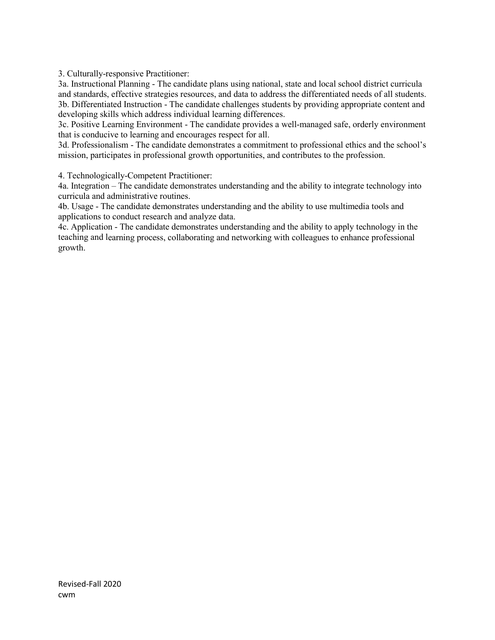3. Culturally-responsive Practitioner:

3a. Instructional Planning - The candidate plans using national, state and local school district curricula and standards, effective strategies resources, and data to address the differentiated needs of all students. 3b. Differentiated Instruction - The candidate challenges students by providing appropriate content and developing skills which address individual learning differences.

3c. Positive Learning Environment - The candidate provides a well-managed safe, orderly environment that is conducive to learning and encourages respect for all.

3d. Professionalism - The candidate demonstrates a commitment to professional ethics and the school's mission, participates in professional growth opportunities, and contributes to the profession.

4. Technologically-Competent Practitioner:

4a. Integration – The candidate demonstrates understanding and the ability to integrate technology into curricula and administrative routines.

4b. Usage - The candidate demonstrates understanding and the ability to use multimedia tools and applications to conduct research and analyze data.

4c. Application - The candidate demonstrates understanding and the ability to apply technology in the teaching and learning process, collaborating and networking with colleagues to enhance professional growth.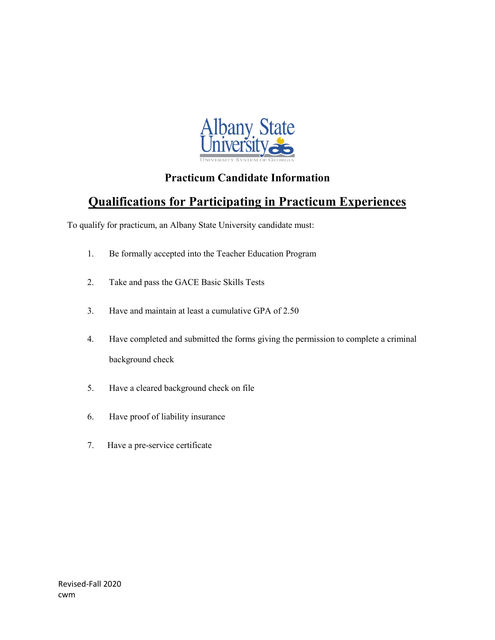

## **Practicum Candidate Information**

# **Qualifications for Participating in Practicum Experiences**

To qualify for practicum, an Albany State University candidate must:

- 1. Be formally accepted into the Teacher Education Program
- 2. Take and pass the GACE Basic Skills Tests
- 3. Have and maintain at least a cumulative GPA of 2.50
- 4. Have completed and submitted the forms giving the permission to complete a criminal background check
- 5. Have a cleared background check on file
- 6. Have proof of liability insurance
- 7. Have a pre-service certificate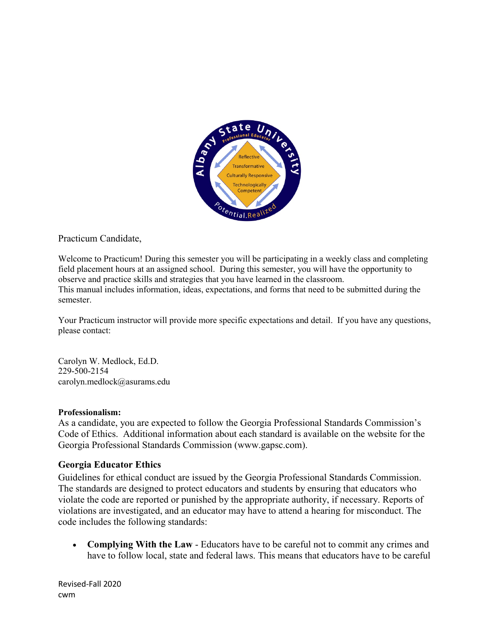

Practicum Candidate,

Welcome to Practicum! During this semester you will be participating in a weekly class and completing field placement hours at an assigned school. During this semester, you will have the opportunity to observe and practice skills and strategies that you have learned in the classroom. This manual includes information, ideas, expectations, and forms that need to be submitted during the semester.

Your Practicum instructor will provide more specific expectations and detail. If you have any questions, please contact:

Carolyn W. Medlock, Ed.D. 229-500-2154 carolyn.medlock@asurams.edu

#### **Professionalism:**

As a candidate, you are expected to follow the Georgia Professional Standards Commission's Code of Ethics. Additional information about each standard is available on the website for the Georgia Professional Standards Commission (www.gapsc.com).

## **Georgia Educator Ethics**

Guidelines for ethical conduct are issued by the Georgia Professional Standards Commission. The standards are designed to protect educators and students by ensuring that educators who violate the code are reported or punished by the appropriate authority, if necessary. Reports of violations are investigated, and an educator may have to attend a hearing for misconduct. The code includes the following standards:

• **Complying With the Law** - Educators have to be careful not to commit any crimes and have to follow local, state and federal laws. This means that educators have to be careful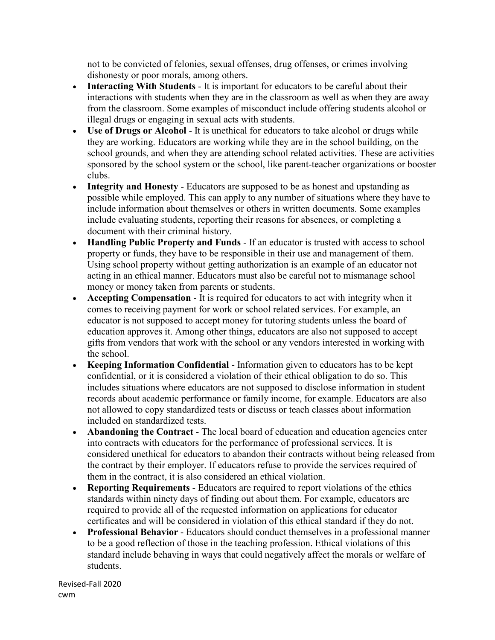not to be convicted of felonies, sexual offenses, drug offenses, or crimes involving dishonesty or poor morals, among others.

- **Interacting With Students** It is important for educators to be careful about their interactions with students when they are in the classroom as well as when they are away from the classroom. Some examples of misconduct include offering students alcohol or illegal drugs or engaging in sexual acts with students.
- **Use of Drugs or Alcohol** It is unethical for educators to take alcohol or drugs while they are working. Educators are working while they are in the school building, on the school grounds, and when they are attending school related activities. These are activities sponsored by the school system or the school, like parent-teacher organizations or booster clubs.
- **Integrity and Honesty** Educators are supposed to be as honest and upstanding as possible while employed. This can apply to any number of situations where they have to include information about themselves or others in written documents. Some examples include evaluating students, reporting their reasons for absences, or completing a document with their criminal history.
- **Handling Public Property and Funds** If an educator is trusted with access to school property or funds, they have to be responsible in their use and management of them. Using school property without getting authorization is an example of an educator not acting in an ethical manner. Educators must also be careful not to mismanage school money or money taken from parents or students.
- **Accepting Compensation** It is required for educators to act with integrity when it comes to receiving payment for work or school related services. For example, an educator is not supposed to accept money for tutoring students unless the board of education approves it. Among other things, educators are also not supposed to accept gifts from vendors that work with the school or any vendors interested in working with the school.
- **Keeping Information Confidential** Information given to educators has to be kept confidential, or it is considered a violation of their ethical obligation to do so. This includes situations where educators are not supposed to disclose information in student records about academic performance or family income, for example. Educators are also not allowed to copy standardized tests or discuss or teach classes about information included on standardized tests.
- **Abandoning the Contract** The local board of education and education agencies enter into contracts with educators for the performance of professional services. It is considered unethical for educators to abandon their contracts without being released from the contract by their employer. If educators refuse to provide the services required of them in the contract, it is also considered an ethical violation.
- **Reporting Requirements** Educators are required to report violations of the ethics standards within ninety days of finding out about them. For example, educators are required to provide all of the requested information on applications for educator certificates and will be considered in violation of this ethical standard if they do not.
- **Professional Behavior** Educators should conduct themselves in a professional manner to be a good reflection of those in the teaching profession. Ethical violations of this standard include behaving in ways that could negatively affect the morals or welfare of students.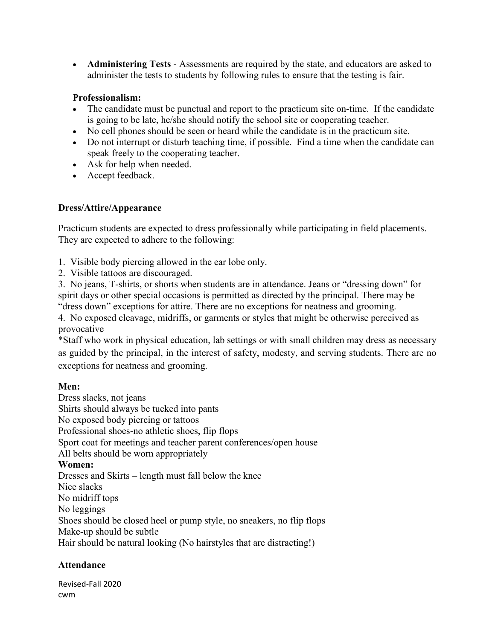• **Administering Tests** - Assessments are required by the state, and educators are asked to administer the tests to students by following rules to ensure that the testing is fair.

## **Professionalism:**

- The candidate must be punctual and report to the practicum site on-time. If the candidate is going to be late, he/she should notify the school site or cooperating teacher.
- No cell phones should be seen or heard while the candidate is in the practicum site.
- Do not interrupt or disturb teaching time, if possible. Find a time when the candidate can speak freely to the cooperating teacher.
- Ask for help when needed.
- Accept feedback.

## **Dress/Attire/Appearance**

Practicum students are expected to dress professionally while participating in field placements. They are expected to adhere to the following:

- 1. Visible body piercing allowed in the ear lobe only.
- 2. Visible tattoos are discouraged.

3. No jeans, T-shirts, or shorts when students are in attendance. Jeans or "dressing down" for spirit days or other special occasions is permitted as directed by the principal. There may be "dress down" exceptions for attire. There are no exceptions for neatness and grooming.

4. No exposed cleavage, midriffs, or garments or styles that might be otherwise perceived as provocative

\*Staff who work in physical education, lab settings or with small children may dress as necessary as guided by the principal, in the interest of safety, modesty, and serving students. There are no exceptions for neatness and grooming.

## **Men:**

Dress slacks, not jeans Shirts should always be tucked into pants No exposed body piercing or tattoos Professional shoes-no athletic shoes, flip flops Sport coat for meetings and teacher parent conferences/open house All belts should be worn appropriately **Women:** Dresses and Skirts – length must fall below the knee Nice slacks No midriff tops No leggings Shoes should be closed heel or pump style, no sneakers, no flip flops Make-up should be subtle Hair should be natural looking (No hairstyles that are distracting!)

## **Attendance**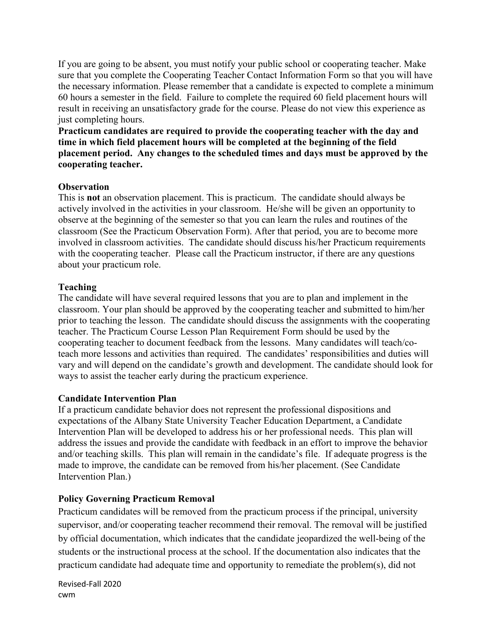If you are going to be absent, you must notify your public school or cooperating teacher. Make sure that you complete the Cooperating Teacher Contact Information Form so that you will have the necessary information. Please remember that a candidate is expected to complete a minimum 60 hours a semester in the field. Failure to complete the required 60 field placement hours will result in receiving an unsatisfactory grade for the course. Please do not view this experience as just completing hours.

**Practicum candidates are required to provide the cooperating teacher with the day and time in which field placement hours will be completed at the beginning of the field placement period. Any changes to the scheduled times and days must be approved by the cooperating teacher.** 

## **Observation**

This is **not** an observation placement. This is practicum. The candidate should always be actively involved in the activities in your classroom. He/she will be given an opportunity to observe at the beginning of the semester so that you can learn the rules and routines of the classroom (See the Practicum Observation Form). After that period, you are to become more involved in classroom activities. The candidate should discuss his/her Practicum requirements with the cooperating teacher. Please call the Practicum instructor, if there are any questions about your practicum role.

## **Teaching**

The candidate will have several required lessons that you are to plan and implement in the classroom. Your plan should be approved by the cooperating teacher and submitted to him/her prior to teaching the lesson. The candidate should discuss the assignments with the cooperating teacher. The Practicum Course Lesson Plan Requirement Form should be used by the cooperating teacher to document feedback from the lessons. Many candidates will teach/coteach more lessons and activities than required. The candidates' responsibilities and duties will vary and will depend on the candidate's growth and development. The candidate should look for ways to assist the teacher early during the practicum experience.

## **Candidate Intervention Plan**

If a practicum candidate behavior does not represent the professional dispositions and expectations of the Albany State University Teacher Education Department, a Candidate Intervention Plan will be developed to address his or her professional needs. This plan will address the issues and provide the candidate with feedback in an effort to improve the behavior and/or teaching skills. This plan will remain in the candidate's file. If adequate progress is the made to improve, the candidate can be removed from his/her placement. (See Candidate Intervention Plan.)

## **Policy Governing Practicum Removal**

Practicum candidates will be removed from the practicum process if the principal, university supervisor, and/or cooperating teacher recommend their removal. The removal will be justified by official documentation, which indicates that the candidate jeopardized the well-being of the students or the instructional process at the school. If the documentation also indicates that the practicum candidate had adequate time and opportunity to remediate the problem(s), did not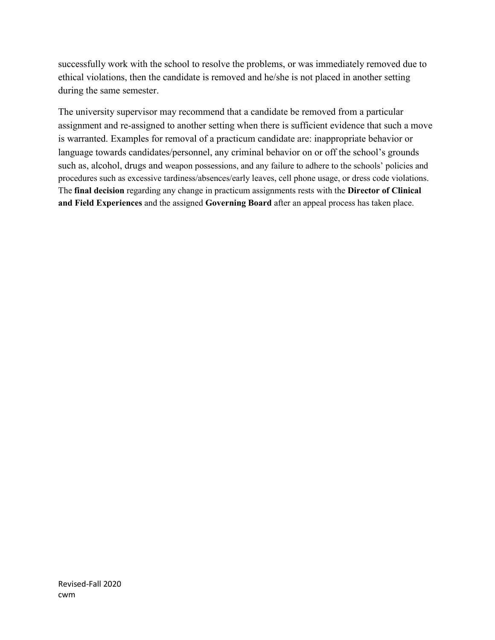successfully work with the school to resolve the problems, or was immediately removed due to ethical violations, then the candidate is removed and he/she is not placed in another setting during the same semester.

The university supervisor may recommend that a candidate be removed from a particular assignment and re-assigned to another setting when there is sufficient evidence that such a move is warranted. Examples for removal of a practicum candidate are: inappropriate behavior or language towards candidates/personnel, any criminal behavior on or off the school's grounds such as, alcohol, drugs and weapon possessions, and any failure to adhere to the schools' policies and procedures such as excessive tardiness/absences/early leaves, cell phone usage, or dress code violations. The **final decision** regarding any change in practicum assignments rests with the **Director of Clinical and Field Experiences** and the assigned **Governing Board** after an appeal process has taken place.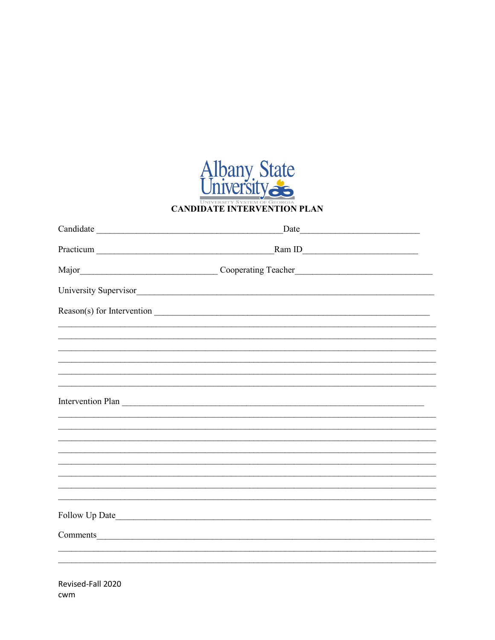

| Date                                                                                                                                                                   |  |
|------------------------------------------------------------------------------------------------------------------------------------------------------------------------|--|
| RamID                                                                                                                                                                  |  |
|                                                                                                                                                                        |  |
| University Supervisor                                                                                                                                                  |  |
| Reason(s) for Intervention _                                                                                                                                           |  |
|                                                                                                                                                                        |  |
|                                                                                                                                                                        |  |
| ,我们也不能在这里的人,我们也不能在这里的人,我们也不能在这里的人,我们也不能在这里的人,我们也不能在这里的人,我们也不能在这里的人,我们也不能在这里的人,我们也<br>,我们也不能在这里的人,我们也不能在这里的人,我们也不能在这里的人,我们也不能在这里的人,我们也不能在这里的人,我们也不能在这里的人,我们也不能在这里的人,我们也 |  |
| ,我们也不能在这里的时候,我们也不能在这里的时候,我们也不能不能不能不能不能不能不能不能不能不能不能不能不能不能不能。""我们的是,我们也不能不能不能不能不能不能                                                                                      |  |
| Intervention Plan                                                                                                                                                      |  |
|                                                                                                                                                                        |  |
|                                                                                                                                                                        |  |
|                                                                                                                                                                        |  |
|                                                                                                                                                                        |  |
|                                                                                                                                                                        |  |
|                                                                                                                                                                        |  |
| ,我们也不能在这里的人,我们也不能在这里的人,我们也不能在这里的人,我们也不能不能在这里的人,我们也不能不能不能不能。""我们,我们也不能不能不能不能不能不能不                                                                                       |  |
| Comments <u>comments</u>                                                                                                                                               |  |
|                                                                                                                                                                        |  |
|                                                                                                                                                                        |  |
|                                                                                                                                                                        |  |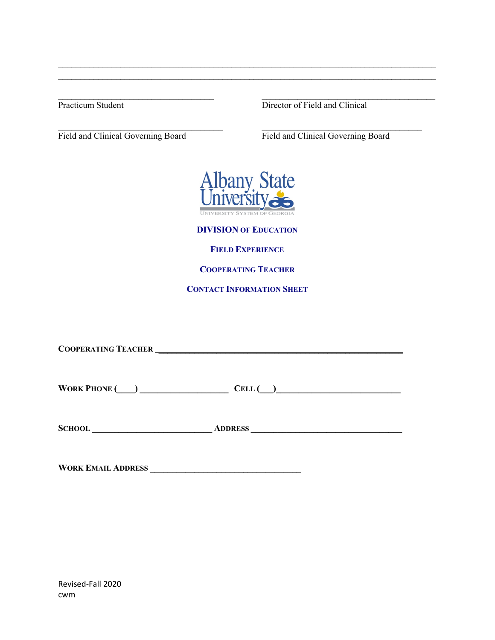$\_$  , and the contribution of the contribution of  $\_$  . The contribution of  $\_$  ,  $\_$  ,  $\_$  ,  $\_$  ,  $\_$  ,  $\_$  ,  $\_$  ,  $\_$  ,  $\_$  ,  $\_$  ,  $\_$  ,  $\_$  ,  $\_$  ,  $\_$  ,  $\_$  ,  $\_$  ,  $\_$  ,  $\_$  ,  $\_$  ,  $\_$  ,  $\_$  ,  $\_$  ,  $\_$  ,  $\_$  , Practicum Student Director of Field and Clinical

Field and Clinical Governing Board Field and Clinical Governing Board



 $\_$  , and the set of the set of the set of the set of the set of the set of the set of the set of the set of the set of the set of the set of the set of the set of the set of the set of the set of the set of the set of th  $\_$  , and the set of the set of the set of the set of the set of the set of the set of the set of the set of the set of the set of the set of the set of the set of the set of the set of the set of the set of the set of th

 $\mathcal{L}_\text{max}$  , and the contribution of the contribution of the contribution of the contribution of the contribution of the contribution of the contribution of the contribution of the contribution of the contribution of t

**DIVISION OF EDUCATION**

**FIELD EXPERIENCE**

**COOPERATING TEACHER**

**CONTACT INFORMATION SHEET**

**COOPERATING TEACHER \_\_\_\_\_\_\_\_\_\_\_\_\_\_\_\_\_\_\_\_\_\_\_\_\_\_\_\_\_\_\_\_\_\_\_\_\_\_\_\_\_\_\_\_\_\_\_\_\_\_\_\_\_\_\_ WORK PHONE (\_\_\_\_) \_\_\_\_\_\_\_\_\_\_\_\_\_\_\_\_\_\_\_\_ CELL (\_\_\_)\_\_\_\_\_\_\_\_\_\_\_\_\_\_\_\_\_\_\_\_\_\_\_\_\_\_\_\_**

**SCHOOL \_\_\_\_\_\_\_\_\_\_\_\_\_\_\_\_\_\_\_\_\_\_\_\_\_\_\_ ADDRESS \_\_\_\_\_\_\_\_\_\_\_\_\_\_\_\_\_\_\_\_\_\_\_\_\_\_\_\_\_\_\_\_\_\_**

**WORK EMAIL ADDRESS \_\_\_\_\_\_\_\_\_\_\_\_\_\_\_\_\_\_\_\_\_\_\_\_\_\_\_\_\_\_\_\_\_\_**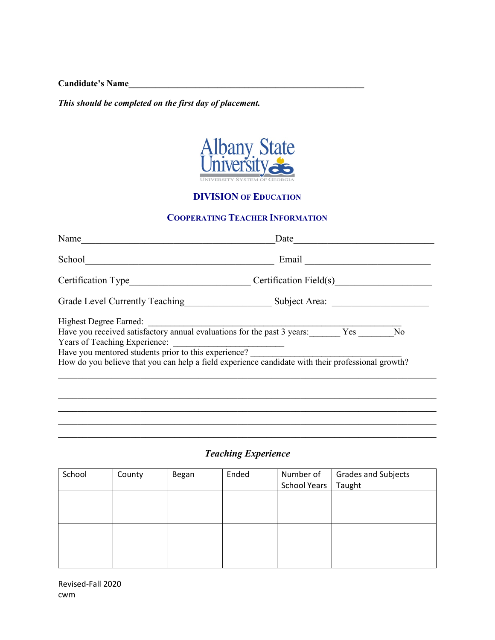**Candidate's Name\_\_\_\_\_\_\_\_\_\_\_\_\_\_\_\_\_\_\_\_\_\_\_\_\_\_\_\_\_\_\_\_\_\_\_\_\_\_\_\_\_\_\_\_\_\_\_\_\_\_\_\_\_**

*This should be completed on the first day of placement.*



## **DIVISION OF EDUCATION**

## **COOPERATING TEACHER INFORMATION**

| Name                                                                                              | Date                   |     |    |
|---------------------------------------------------------------------------------------------------|------------------------|-----|----|
| School                                                                                            | Email                  |     |    |
| Certification Type                                                                                | Certification Field(s) |     |    |
| Grade Level Currently Teaching                                                                    | Subject Area:          |     |    |
| <b>Highest Degree Earned:</b>                                                                     |                        |     |    |
| Have you received satisfactory annual evaluations for the past 3 years:                           |                        | Yes | No |
| Years of Teaching Experience:                                                                     |                        |     |    |
| Have you mentored students prior to this experience?                                              |                        |     |    |
| How do you believe that you can help a field experience candidate with their professional growth? |                        |     |    |
|                                                                                                   |                        |     |    |
|                                                                                                   |                        |     |    |
|                                                                                                   |                        |     |    |

## *Teaching Experience*

\_\_\_\_\_\_\_\_\_\_\_\_\_\_\_\_\_\_\_\_\_\_\_\_\_\_\_\_\_\_\_\_\_\_\_\_\_\_\_\_\_\_\_\_\_\_\_\_\_\_\_\_\_\_\_\_\_\_\_\_\_\_\_\_\_\_\_\_\_\_\_\_\_\_\_\_\_\_

\_\_\_\_\_\_\_\_\_\_\_\_\_\_\_\_\_\_\_\_\_\_\_\_\_\_\_\_\_\_\_\_\_\_\_\_\_\_\_\_\_\_\_\_\_\_\_\_\_\_\_\_\_\_\_\_\_\_\_\_\_\_\_\_\_\_\_\_\_\_\_\_\_\_\_\_\_\_

| School | County | Began | Ended | Number of    | <b>Grades and Subjects</b> |
|--------|--------|-------|-------|--------------|----------------------------|
|        |        |       |       | School Years | Taught                     |
|        |        |       |       |              |                            |
|        |        |       |       |              |                            |
|        |        |       |       |              |                            |
|        |        |       |       |              |                            |
|        |        |       |       |              |                            |
|        |        |       |       |              |                            |
|        |        |       |       |              |                            |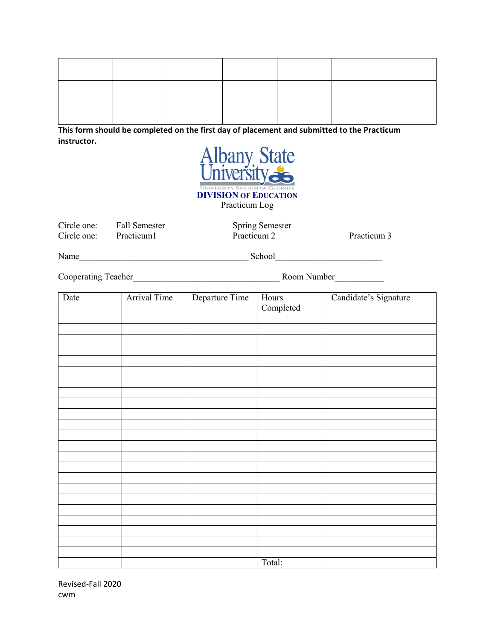**This form should be completed on the first day of placement and submitted to the Practicum instructor.**



Circle one: Fall Semester Spring Semester<br>Circle one: Practicum1 Practicum 2 Circle one: Practicum 1 Practicum 2 Practicum 3

Name\_\_\_\_\_\_\_\_\_\_\_\_\_\_\_\_\_\_\_\_\_\_\_\_\_\_\_\_\_\_\_\_\_\_\_\_\_\_ School\_\_\_\_\_\_\_\_\_\_\_\_\_\_\_\_\_\_\_\_\_\_\_\_

Cooperating Teacher\_\_\_\_\_\_\_\_\_\_\_\_\_\_\_\_\_\_\_\_\_\_\_\_\_\_\_\_\_\_\_\_\_ Room Number\_\_\_\_\_\_\_\_\_\_\_

| Date | Arrival Time | Departure Time | Hours<br>Completed | Candidate's Signature |
|------|--------------|----------------|--------------------|-----------------------|
|      |              |                |                    |                       |
|      |              |                |                    |                       |
|      |              |                |                    |                       |
|      |              |                |                    |                       |
|      |              |                |                    |                       |
|      |              |                |                    |                       |
|      |              |                |                    |                       |
|      |              |                |                    |                       |
|      |              |                |                    |                       |
|      |              |                |                    |                       |
|      |              |                |                    |                       |
|      |              |                |                    |                       |
|      |              |                |                    |                       |
|      |              |                |                    |                       |
|      |              |                |                    |                       |
|      |              |                |                    |                       |
|      |              |                |                    |                       |
|      |              |                |                    |                       |
|      |              |                |                    |                       |
|      |              |                |                    |                       |
|      |              |                |                    |                       |
|      |              |                |                    |                       |
|      |              |                |                    |                       |
|      |              |                | Total:             |                       |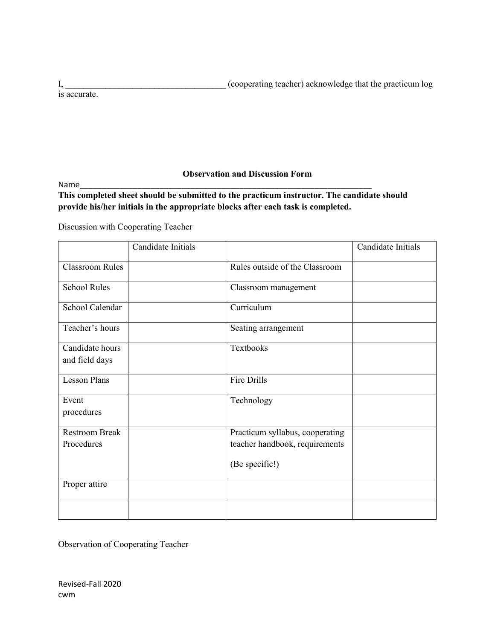|              | (cooperating teacher) acknowledge that the practicum log |
|--------------|----------------------------------------------------------|
| is accurate. |                                                          |

## **Observation and Discussion Form**

Name\_\_\_\_\_\_\_\_\_\_\_\_\_\_\_\_\_\_\_\_\_\_\_\_\_\_\_\_\_\_\_\_\_\_\_\_\_\_\_\_\_\_\_\_\_\_\_\_\_\_\_\_\_\_\_\_\_\_\_\_\_\_\_\_\_\_

**This completed sheet should be submitted to the practicum instructor. The candidate should provide his/her initials in the appropriate blocks after each task is completed.**

Discussion with Cooperating Teacher

|                                     | Candidate Initials |                                                                                     | Candidate Initials |
|-------------------------------------|--------------------|-------------------------------------------------------------------------------------|--------------------|
| <b>Classroom Rules</b>              |                    | Rules outside of the Classroom                                                      |                    |
| <b>School Rules</b>                 |                    | Classroom management                                                                |                    |
| School Calendar                     |                    | Curriculum                                                                          |                    |
| Teacher's hours                     |                    | Seating arrangement                                                                 |                    |
| Candidate hours<br>and field days   |                    | Textbooks                                                                           |                    |
| <b>Lesson Plans</b>                 |                    | Fire Drills                                                                         |                    |
| Event<br>procedures                 |                    | Technology                                                                          |                    |
| <b>Restroom Break</b><br>Procedures |                    | Practicum syllabus, cooperating<br>teacher handbook, requirements<br>(Be specific!) |                    |
| Proper attire                       |                    |                                                                                     |                    |
|                                     |                    |                                                                                     |                    |

Observation of Cooperating Teacher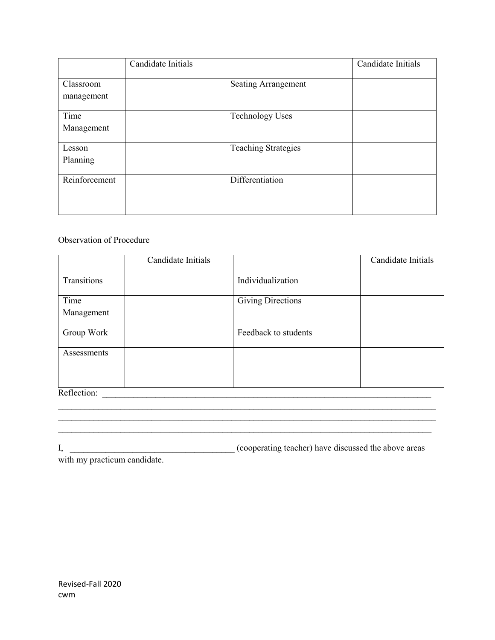|                         | Candidate Initials |                            | Candidate Initials |
|-------------------------|--------------------|----------------------------|--------------------|
| Classroom<br>management |                    | <b>Seating Arrangement</b> |                    |
| Time<br>Management      |                    | <b>Technology Uses</b>     |                    |
| Lesson<br>Planning      |                    | <b>Teaching Strategies</b> |                    |
| Reinforcement           |                    | Differentiation            |                    |

#### Observation of Procedure

|             | Candidate Initials |                          | Candidate Initials |
|-------------|--------------------|--------------------------|--------------------|
|             |                    |                          |                    |
| Transitions |                    | Individualization        |                    |
| Time        |                    | <b>Giving Directions</b> |                    |
| Management  |                    |                          |                    |
|             |                    |                          |                    |
| Group Work  |                    | Feedback to students     |                    |
|             |                    |                          |                    |
| Assessments |                    |                          |                    |
|             |                    |                          |                    |
|             |                    |                          |                    |
| Reflection: |                    |                          |                    |

I, \_\_\_\_\_\_\_\_\_\_\_\_\_\_\_\_\_\_\_\_\_\_\_\_\_\_\_\_\_\_\_\_\_\_\_\_\_ (cooperating teacher) have discussed the above areas

 $\_$  , and the set of the set of the set of the set of the set of the set of the set of the set of the set of the set of the set of the set of the set of the set of the set of the set of the set of the set of the set of th  $\mathcal{L}_\text{max}$  , and the contract of the contract of the contract of the contract of the contract of the contract of  $\mathcal{L}_\text{max}$  , and the contribution of the contribution of the contribution of the contribution of the contribution of the contribution of the contribution of the contribution of the contribution of the contribution of t

with my practicum candidate.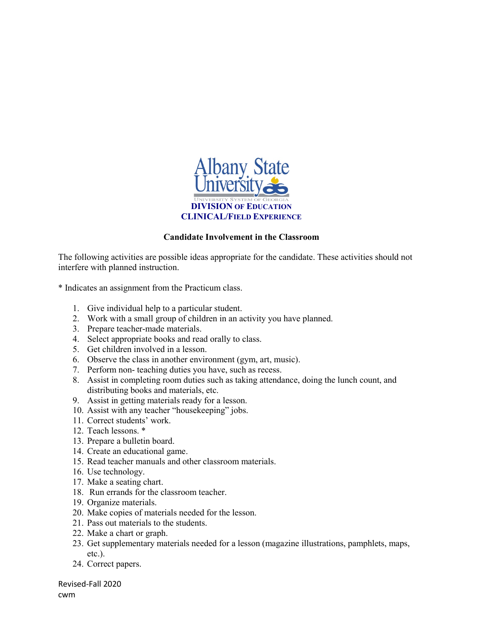

#### **Candidate Involvement in the Classroom**

The following activities are possible ideas appropriate for the candidate. These activities should not interfere with planned instruction.

\* Indicates an assignment from the Practicum class.

- 1. Give individual help to a particular student.
- 2. Work with a small group of children in an activity you have planned.
- 3. Prepare teacher-made materials.
- 4. Select appropriate books and read orally to class.
- 5. Get children involved in a lesson.
- 6. Observe the class in another environment (gym, art, music).
- 7. Perform non- teaching duties you have, such as recess.
- 8. Assist in completing room duties such as taking attendance, doing the lunch count, and distributing books and materials, etc.
- 9. Assist in getting materials ready for a lesson.
- 10. Assist with any teacher "housekeeping" jobs.
- 11. Correct students' work.
- 12. Teach lessons. \*
- 13. Prepare a bulletin board.
- 14. Create an educational game.
- 15. Read teacher manuals and other classroom materials.
- 16. Use technology.
- 17. Make a seating chart.
- 18. Run errands for the classroom teacher.
- 19. Organize materials.
- 20. Make copies of materials needed for the lesson.
- 21. Pass out materials to the students.
- 22. Make a chart or graph.
- 23. Get supplementary materials needed for a lesson (magazine illustrations, pamphlets, maps, etc.).
- 24. Correct papers.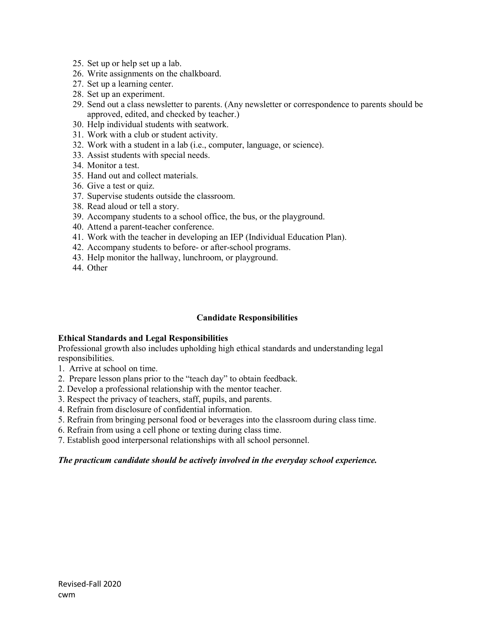- 25. Set up or help set up a lab.
- 26. Write assignments on the chalkboard.
- 27. Set up a learning center.
- 28. Set up an experiment.
- 29. Send out a class newsletter to parents. (Any newsletter or correspondence to parents should be approved, edited, and checked by teacher.)
- 30. Help individual students with seatwork.
- 31. Work with a club or student activity.
- 32. Work with a student in a lab (i.e., computer, language, or science).
- 33. Assist students with special needs.
- 34. Monitor a test.
- 35. Hand out and collect materials.
- 36. Give a test or quiz.
- 37. Supervise students outside the classroom.
- 38. Read aloud or tell a story.
- 39. Accompany students to a school office, the bus, or the playground.
- 40. Attend a parent-teacher conference.
- 41. Work with the teacher in developing an IEP (Individual Education Plan).
- 42. Accompany students to before- or after-school programs.
- 43. Help monitor the hallway, lunchroom, or playground.
- 44. Other

#### **Candidate Responsibilities**

#### **Ethical Standards and Legal Responsibilities**

Professional growth also includes upholding high ethical standards and understanding legal responsibilities.

- 1. Arrive at school on time.
- 2. Prepare lesson plans prior to the "teach day" to obtain feedback.
- 2. Develop a professional relationship with the mentor teacher.
- 3. Respect the privacy of teachers, staff, pupils, and parents.
- 4. Refrain from disclosure of confidential information.
- 5. Refrain from bringing personal food or beverages into the classroom during class time.
- 6. Refrain from using a cell phone or texting during class time.
- 7. Establish good interpersonal relationships with all school personnel.

#### *The practicum candidate should be actively involved in the everyday school experience.*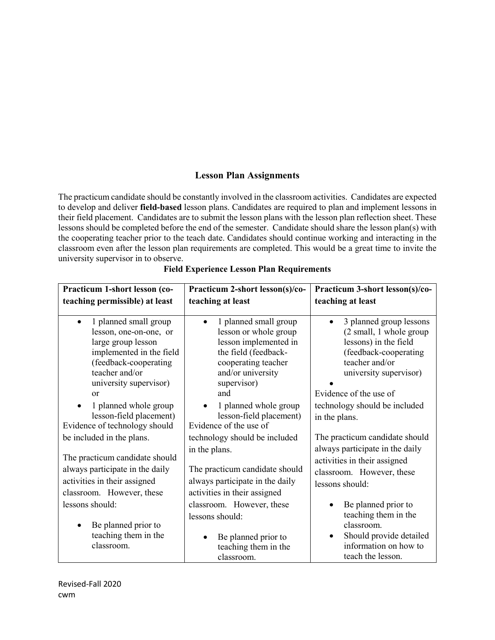## **Lesson Plan Assignments**

The practicum candidate should be constantly involved in the classroom activities. Candidates are expected to develop and deliver **field-based** lesson plans. Candidates are required to plan and implement lessons in their field placement. Candidates are to submit the lesson plans with the lesson plan reflection sheet. These lessons should be completed before the end of the semester. Candidate should share the lesson plan(s) with the cooperating teacher prior to the teach date. Candidates should continue working and interacting in the classroom even after the lesson plan requirements are completed. This would be a great time to invite the university supervisor in to observe.

| Practicum 1-short lesson (co-                                                                                                                                                                                                                                                                      | Practicum 2-short lesson(s)/co-                                                                                                                                                                                                                 | Practicum 3-short lesson(s)/co-                                                                                                                                                                                              |
|----------------------------------------------------------------------------------------------------------------------------------------------------------------------------------------------------------------------------------------------------------------------------------------------------|-------------------------------------------------------------------------------------------------------------------------------------------------------------------------------------------------------------------------------------------------|------------------------------------------------------------------------------------------------------------------------------------------------------------------------------------------------------------------------------|
| teaching permissible) at least                                                                                                                                                                                                                                                                     | teaching at least                                                                                                                                                                                                                               | teaching at least                                                                                                                                                                                                            |
| 1 planned small group<br>$\bullet$<br>lesson, one-on-one, or<br>large group lesson<br>implemented in the field<br>(feedback-cooperating<br>teacher and/or<br>university supervisor)<br><b>or</b><br>1 planned whole group<br>$\bullet$<br>lesson-field placement)<br>Evidence of technology should | 1 planned small group<br>lesson or whole group<br>lesson implemented in<br>the field (feedback-<br>cooperating teacher<br>and/or university<br>supervisor)<br>and<br>1 planned whole group<br>lesson-field placement)<br>Evidence of the use of | 3 planned group lessons<br>(2 small, 1 whole group<br>lessons) in the field<br>(feedback-cooperating<br>teacher and/or<br>university supervisor)<br>Evidence of the use of<br>technology should be included<br>in the plans. |
| be included in the plans.                                                                                                                                                                                                                                                                          | technology should be included                                                                                                                                                                                                                   | The practicum candidate should                                                                                                                                                                                               |
| The practicum candidate should<br>always participate in the daily<br>activities in their assigned<br>classroom. However, these                                                                                                                                                                     | in the plans.<br>The practicum candidate should<br>always participate in the daily<br>activities in their assigned                                                                                                                              | always participate in the daily<br>activities in their assigned<br>classroom. However, these<br>lessons should:                                                                                                              |
| lessons should:<br>Be planned prior to<br>teaching them in the<br>classroom.                                                                                                                                                                                                                       | classroom. However, these<br>lessons should:<br>Be planned prior to<br>teaching them in the<br>classroom.                                                                                                                                       | Be planned prior to<br>teaching them in the<br>classroom.<br>Should provide detailed<br>information on how to<br>teach the lesson.                                                                                           |

**Field Experience Lesson Plan Requirements**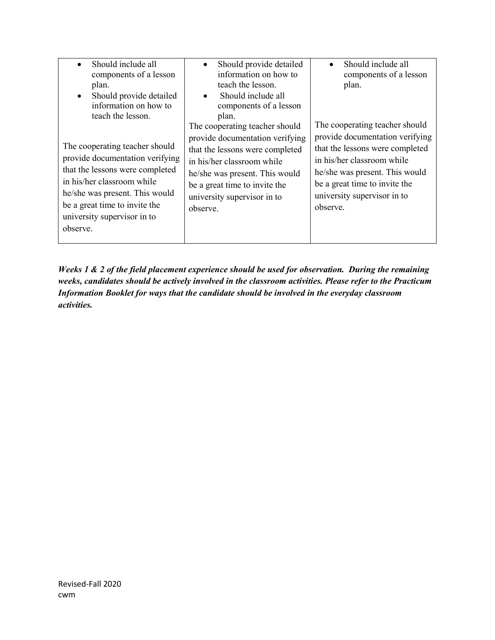| Should include all<br>components of a lesson<br>plan.<br>Should provide detailed<br>$\bullet$<br>information on how to<br>teach the lesson.<br>The cooperating teacher should<br>provide documentation verifying<br>that the lessons were completed<br>in his/her classroom while<br>he/she was present. This would<br>be a great time to invite the<br>university supervisor in to<br>observe. | Should provide detailed<br>information on how to<br>teach the lesson.<br>Should include all<br>components of a lesson<br>plan.<br>The cooperating teacher should<br>provide documentation verifying<br>that the lessons were completed<br>in his/her classroom while<br>he/she was present. This would<br>be a great time to invite the<br>university supervisor in to<br>observe. | Should include all<br>components of a lesson<br>plan.<br>The cooperating teacher should<br>provide documentation verifying<br>that the lessons were completed<br>in his/her classroom while<br>he/she was present. This would<br>be a great time to invite the<br>university supervisor in to<br>observe. |
|-------------------------------------------------------------------------------------------------------------------------------------------------------------------------------------------------------------------------------------------------------------------------------------------------------------------------------------------------------------------------------------------------|------------------------------------------------------------------------------------------------------------------------------------------------------------------------------------------------------------------------------------------------------------------------------------------------------------------------------------------------------------------------------------|-----------------------------------------------------------------------------------------------------------------------------------------------------------------------------------------------------------------------------------------------------------------------------------------------------------|
|-------------------------------------------------------------------------------------------------------------------------------------------------------------------------------------------------------------------------------------------------------------------------------------------------------------------------------------------------------------------------------------------------|------------------------------------------------------------------------------------------------------------------------------------------------------------------------------------------------------------------------------------------------------------------------------------------------------------------------------------------------------------------------------------|-----------------------------------------------------------------------------------------------------------------------------------------------------------------------------------------------------------------------------------------------------------------------------------------------------------|

*Weeks 1 & 2 of the field placement experience should be used for observation. During the remaining weeks, candidates should be actively involved in the classroom activities. Please refer to the Practicum Information Booklet for ways that the candidate should be involved in the everyday classroom activities.*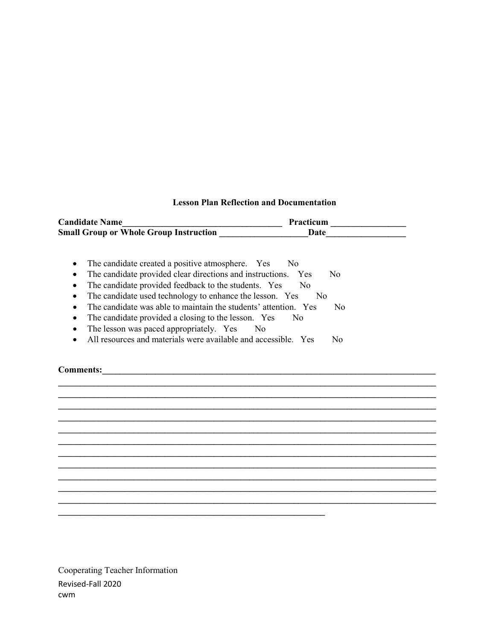#### **Lesson Plan Reflection and Documentation**

**\_\_\_\_\_\_\_\_\_\_\_\_\_\_\_\_\_\_\_\_\_\_\_\_\_\_\_\_\_\_\_\_\_\_\_\_\_\_\_\_\_\_\_\_\_\_\_\_\_\_\_\_\_\_\_\_\_\_\_\_\_\_\_\_\_\_\_\_\_\_\_\_\_\_\_\_\_\_\_\_\_\_\_\_\_ \_\_\_\_\_\_\_\_\_\_\_\_\_\_\_\_\_\_\_\_\_\_\_\_\_\_\_\_\_\_\_\_\_\_\_\_\_\_\_\_\_\_\_\_\_\_\_\_\_\_\_\_\_\_\_\_\_\_\_\_\_\_\_\_\_\_\_\_\_\_\_\_\_\_\_\_\_\_\_\_\_\_\_\_\_ \_\_\_\_\_\_\_\_\_\_\_\_\_\_\_\_\_\_\_\_\_\_\_\_\_\_\_\_\_\_\_\_\_\_\_\_\_\_\_\_\_\_\_\_\_\_\_\_\_\_\_\_\_\_\_\_\_\_\_\_\_\_\_\_\_\_\_\_\_\_\_\_\_\_\_\_\_\_\_\_\_\_\_\_\_ \_\_\_\_\_\_\_\_\_\_\_\_\_\_\_\_\_\_\_\_\_\_\_\_\_\_\_\_\_\_\_\_\_\_\_\_\_\_\_\_\_\_\_\_\_\_\_\_\_\_\_\_\_\_\_\_\_\_\_\_\_\_\_\_\_\_\_\_\_\_\_\_\_\_\_\_\_\_\_\_\_\_\_\_\_ \_\_\_\_\_\_\_\_\_\_\_\_\_\_\_\_\_\_\_\_\_\_\_\_\_\_\_\_\_\_\_\_\_\_\_\_\_\_\_\_\_\_\_\_\_\_\_\_\_\_\_\_\_\_\_\_\_\_\_\_\_\_\_\_\_\_\_\_\_\_\_\_\_\_\_\_\_\_\_\_\_\_\_\_\_ \_\_\_\_\_\_\_\_\_\_\_\_\_\_\_\_\_\_\_\_\_\_\_\_\_\_\_\_\_\_\_\_\_\_\_\_\_\_\_\_\_\_\_\_\_\_\_\_\_\_\_\_\_\_\_\_\_\_\_\_\_\_\_\_\_\_\_\_\_\_\_\_\_\_\_\_\_\_\_\_\_\_\_\_\_ \_\_\_\_\_\_\_\_\_\_\_\_\_\_\_\_\_\_\_\_\_\_\_\_\_\_\_\_\_\_\_\_\_\_\_\_\_\_\_\_\_\_\_\_\_\_\_\_\_\_\_\_\_\_\_\_\_\_\_\_\_\_\_\_\_\_\_\_\_\_\_\_\_\_\_\_\_\_\_\_\_\_\_\_\_ \_\_\_\_\_\_\_\_\_\_\_\_\_\_\_\_\_\_\_\_\_\_\_\_\_\_\_\_\_\_\_\_\_\_\_\_\_\_\_\_\_\_\_\_\_\_\_\_\_\_\_\_\_\_\_\_\_\_\_\_\_\_\_\_\_\_\_\_\_\_\_\_\_\_\_\_\_\_\_\_\_\_\_\_\_ \_\_\_\_\_\_\_\_\_\_\_\_\_\_\_\_\_\_\_\_\_\_\_\_\_\_\_\_\_\_\_\_\_\_\_\_\_\_\_\_\_\_\_\_\_\_\_\_\_\_\_\_\_\_\_\_\_\_\_\_\_\_\_\_\_\_\_\_\_\_\_\_\_\_\_\_\_\_\_\_\_\_\_\_\_ \_\_\_\_\_\_\_\_\_\_\_\_\_\_\_\_\_\_\_\_\_\_\_\_\_\_\_\_\_\_\_\_\_\_\_\_\_\_\_\_\_\_\_\_\_\_\_\_\_\_\_\_\_\_\_\_\_\_\_\_\_\_\_\_\_\_\_\_\_\_\_\_\_\_\_\_\_\_\_\_\_\_\_\_\_ \_\_\_\_\_\_\_\_\_\_\_\_\_\_\_\_\_\_\_\_\_\_\_\_\_\_\_\_\_\_\_\_\_\_\_\_\_\_\_\_\_\_\_\_\_\_\_\_\_\_\_\_\_\_\_\_\_\_\_\_\_\_\_\_\_\_\_\_\_\_\_\_\_\_\_\_\_\_\_\_\_\_\_\_\_**

| <b>Candidate Name</b>                         | Practicum |
|-----------------------------------------------|-----------|
| <b>Small Group or Whole Group Instruction</b> | Date      |

- The candidate created a positive atmosphere. Yes No
- The candidate provided clear directions and instructions. Yes No
- The candidate provided feedback to the students. Yes No
- The candidate used technology to enhance the lesson. Yes No
- The candidate was able to maintain the students' attention. Yes No
- The candidate provided a closing to the lesson. Yes No

**\_\_\_\_\_\_\_\_\_\_\_\_\_\_\_\_\_\_\_\_\_\_\_\_\_\_\_\_\_\_\_\_\_\_\_\_\_\_\_\_\_\_\_\_\_\_\_\_\_\_\_\_\_\_\_\_\_\_\_\_**

- The lesson was paced appropriately. Yes No
- All resources and materials were available and accessible. Yes No

Comments:

Revised-Fall 2020 cwm Cooperating Teacher Information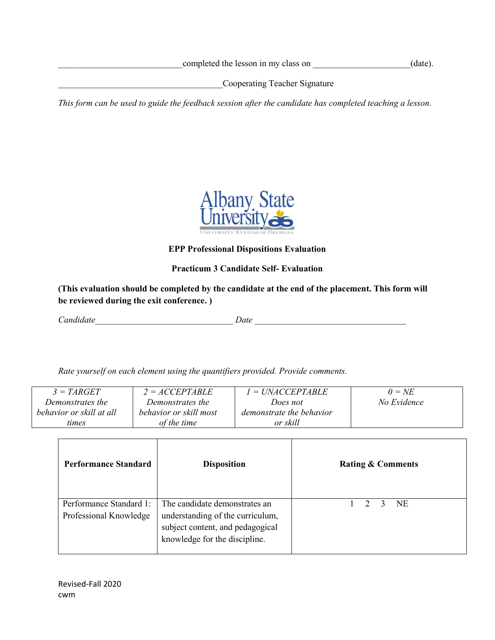completed the lesson in my class on  $(date).$ 

\_\_\_\_\_\_\_\_\_\_\_\_\_\_\_\_\_\_\_\_\_\_\_\_\_\_\_\_\_\_\_\_\_\_\_\_\_Cooperating Teacher Signature

*This form can be used to guide the feedback session after the candidate has completed teaching a lesson.*



**EPP Professional Dispositions Evaluation**

## **Practicum 3 Candidate Self- Evaluation**

**(This evaluation should be completed by the candidate at the end of the placement. This form will be reviewed during the exit conference. )**

*Candidate\_\_\_\_\_\_\_\_\_\_\_\_\_\_\_\_\_\_\_\_\_\_\_\_\_\_\_\_\_\_\_ Date \_\_\_\_\_\_\_\_\_\_\_\_\_\_\_\_\_\_\_\_\_\_\_\_\_\_\_\_\_\_\_\_\_\_*

*Rate yourself on each element using the quantifiers provided. Provide comments.* 

| $3 = TARGET$             | $2 = ACCEPTABLE$       | $l = UNACCEPTABLE$       | $0 = NE$    |
|--------------------------|------------------------|--------------------------|-------------|
| Demonstrates the         | Demonstrates the       | Does not                 | No Evidence |
| behavior or skill at all | behavior or skill most | demonstrate the behavior |             |
| times                    | of the time            | or skill                 |             |

| <b>Performance Standard</b>                       | <b>Disposition</b>                                                                                                                     | <b>Rating &amp; Comments</b> |
|---------------------------------------------------|----------------------------------------------------------------------------------------------------------------------------------------|------------------------------|
| Performance Standard 1:<br>Professional Knowledge | The candidate demonstrates an<br>understanding of the curriculum,<br>subject content, and pedagogical<br>knowledge for the discipline. | NE.<br>$\mathcal{L}$         |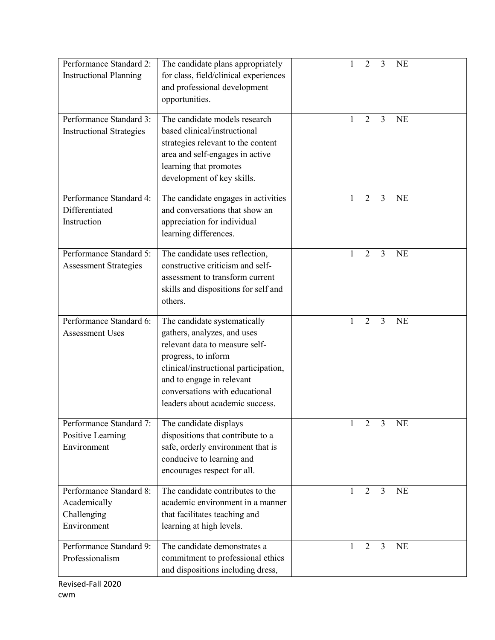| Performance Standard 2:<br><b>Instructional Planning</b>              | The candidate plans appropriately<br>for class, field/clinical experiences<br>and professional development<br>opportunities.                                                                                                                                    | 2<br>3<br><b>NE</b>                                |
|-----------------------------------------------------------------------|-----------------------------------------------------------------------------------------------------------------------------------------------------------------------------------------------------------------------------------------------------------------|----------------------------------------------------|
| Performance Standard 3:<br><b>Instructional Strategies</b>            | The candidate models research<br>based clinical/instructional<br>strategies relevant to the content<br>area and self-engages in active<br>learning that promotes<br>development of key skills.                                                                  | $\overline{2}$<br>$\overline{3}$<br>1<br><b>NE</b> |
| Performance Standard 4:<br>Differentiated<br>Instruction              | The candidate engages in activities<br>and conversations that show an<br>appreciation for individual<br>learning differences.                                                                                                                                   | $\overline{2}$<br>$\overline{3}$<br><b>NE</b>      |
| Performance Standard 5:<br><b>Assessment Strategies</b>               | The candidate uses reflection,<br>constructive criticism and self-<br>assessment to transform current<br>skills and dispositions for self and<br>others.                                                                                                        | $\overline{3}$<br>1<br>2<br><b>NE</b>              |
| Performance Standard 6:<br><b>Assessment Uses</b>                     | The candidate systematically<br>gathers, analyzes, and uses<br>relevant data to measure self-<br>progress, to inform<br>clinical/instructional participation,<br>and to engage in relevant<br>conversations with educational<br>leaders about academic success. | $\overline{3}$<br>2<br><b>NE</b><br>1              |
| Performance Standard 7:<br>Positive Learning<br>Environment           | The candidate displays<br>dispositions that contribute to a<br>safe, orderly environment that is<br>conducive to learning and<br>encourages respect for all.                                                                                                    | $\overline{2}$<br>$\overline{3}$<br><b>NE</b>      |
| Performance Standard 8:<br>Academically<br>Challenging<br>Environment | The candidate contributes to the<br>academic environment in a manner<br>that facilitates teaching and<br>learning at high levels.                                                                                                                               | $\overline{3}$<br><b>NE</b><br>2<br>1              |
| Performance Standard 9:<br>Professionalism                            | The candidate demonstrates a<br>commitment to professional ethics<br>and dispositions including dress,                                                                                                                                                          | $\overline{2}$<br>$\overline{3}$<br>1<br><b>NE</b> |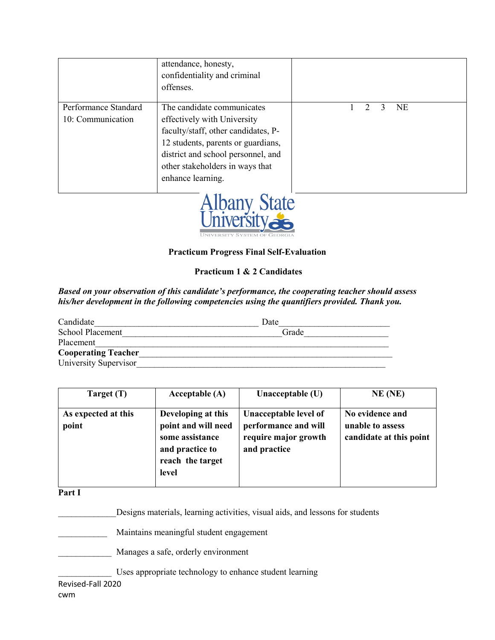|                                           | attendance, honesty,<br>confidentiality and criminal<br>offenses.                                                                                                                                                                    |   |           |
|-------------------------------------------|--------------------------------------------------------------------------------------------------------------------------------------------------------------------------------------------------------------------------------------|---|-----------|
| Performance Standard<br>10: Communication | The candidate communicates<br>effectively with University<br>faculty/staff, other candidates, P-<br>12 students, parents or guardians,<br>district and school personnel, and<br>other stakeholders in ways that<br>enhance learning. | 2 | <b>NE</b> |



#### **Practicum Progress Final Self-Evaluation**

#### **Practicum 1 & 2 Candidates**

#### *Based on your observation of this candidate's performance, the cooperating teacher should assess his/her development in the following competencies using the quantifiers provided. Thank you.*

| Candidate                  | Date  |
|----------------------------|-------|
| School Placement           | Grade |
| Placement                  |       |
| <b>Cooperating Teacher</b> |       |
| University Supervisor      |       |

| Target (T)                   | Acceptable $(A)$                                                                                             | Unacceptable (U)                                                                      | $NE$ (NE)                                                      |
|------------------------------|--------------------------------------------------------------------------------------------------------------|---------------------------------------------------------------------------------------|----------------------------------------------------------------|
| As expected at this<br>point | Developing at this<br>point and will need<br>some assistance<br>and practice to<br>reach the target<br>level | Unacceptable level of<br>performance and will<br>require major growth<br>and practice | No evidence and<br>unable to assess<br>candidate at this point |

#### **Part I**

Designs materials, learning activities, visual aids, and lessons for students

\_\_\_\_\_\_\_\_\_\_\_ Maintains meaningful student engagement

Manages a safe, orderly environment

Uses appropriate technology to enhance student learning

Revised-Fall 2020

cwm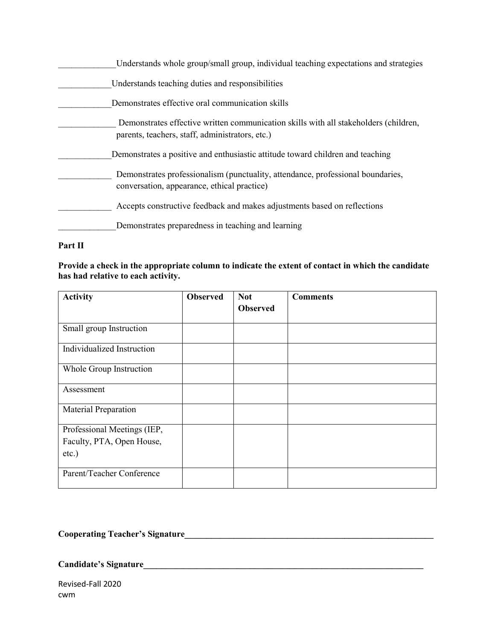| Understands whole group/small group, individual teaching expectations and strategies                                                    |
|-----------------------------------------------------------------------------------------------------------------------------------------|
| Understands teaching duties and responsibilities                                                                                        |
| Demonstrates effective oral communication skills                                                                                        |
| Demonstrates effective written communication skills with all stakeholders (children,<br>parents, teachers, staff, administrators, etc.) |
| Demonstrates a positive and enthusiastic attitude toward children and teaching                                                          |
| Demonstrates professionalism (punctuality, attendance, professional boundaries,<br>conversation, appearance, ethical practice)          |
| Accepts constructive feedback and makes adjustments based on reflections                                                                |
| Demonstrates preparedness in teaching and learning                                                                                      |

## **Part II**

**Provide a check in the appropriate column to indicate the extent of contact in which the candidate has had relative to each activity.**

| <b>Activity</b>             | <b>Observed</b> | <b>Not</b>      | <b>Comments</b> |
|-----------------------------|-----------------|-----------------|-----------------|
|                             |                 | <b>Observed</b> |                 |
| Small group Instruction     |                 |                 |                 |
| Individualized Instruction  |                 |                 |                 |
| Whole Group Instruction     |                 |                 |                 |
| Assessment                  |                 |                 |                 |
| Material Preparation        |                 |                 |                 |
| Professional Meetings (IEP, |                 |                 |                 |
| Faculty, PTA, Open House,   |                 |                 |                 |
| $etc.$ )                    |                 |                 |                 |
| Parent/Teacher Conference   |                 |                 |                 |

## **Cooperating Teacher's Signature\_\_\_\_\_\_\_\_\_\_\_\_\_\_\_\_\_\_\_\_\_\_\_\_\_\_\_\_\_\_\_\_\_\_\_\_\_\_\_\_\_\_\_\_\_\_\_\_\_\_\_\_\_\_\_\_**

## **Candidate's Signature\_\_\_\_\_\_\_\_\_\_\_\_\_\_\_\_\_\_\_\_\_\_\_\_\_\_\_\_\_\_\_\_\_\_\_\_\_\_\_\_\_\_\_\_\_\_\_\_\_\_\_\_\_\_\_\_\_\_\_\_\_\_\_**